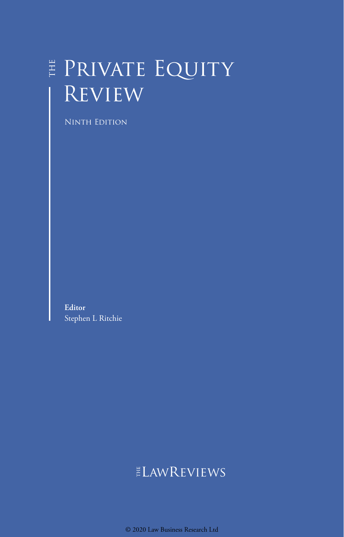## E PRIVATE EQUITY **REVIEW**

Ninth Edition

**Editor** Stephen L Ritchie

## ELAWREVIEWS

© 2020 Law Business Research Ltd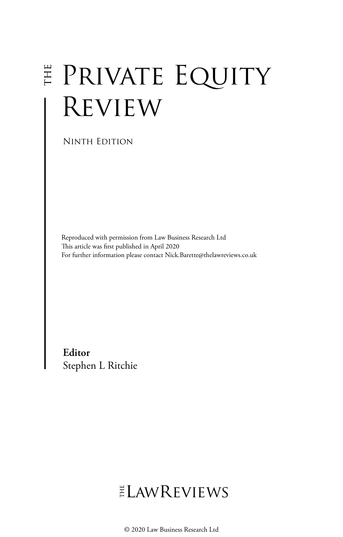# **E PRIVATE EQUITY REVIEW**

Ninth Edition

Reproduced with permission from Law Business Research Ltd This article was first published in April 2020 For further information please contact Nick.Barette@thelawreviews.co.uk

**Editor** Stephen L Ritchie

## ELAWREVIEWS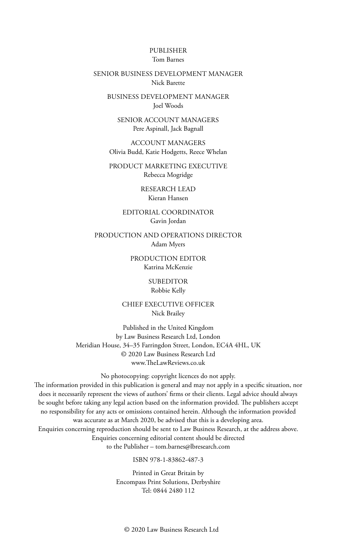#### PUBLISHER Tom Barnes

#### SENIOR BUSINESS DEVELOPMENT MANAGER Nick Barette

BUSINESS DEVELOPMENT MANAGER Joel Woods

SENIOR ACCOUNT MANAGERS Pere Aspinall, Jack Bagnall

ACCOUNT MANAGERS Olivia Budd, Katie Hodgetts, Reece Whelan

PRODUCT MARKETING EXECUTIVE Rebecca Mogridge

> RESEARCH LEAD Kieran Hansen

EDITORIAL COORDINATOR Gavin Jordan

PRODUCTION AND OPERATIONS DIRECTOR Adam Myers

> PRODUCTION EDITOR Katrina McKenzie

> > SUBEDITOR Robbie Kelly

CHIEF EXECUTIVE OFFICER Nick Brailey

Published in the United Kingdom by Law Business Research Ltd, London Meridian House, 34–35 Farringdon Street, London, EC4A 4HL, UK © 2020 Law Business Research Ltd www.TheLawReviews.co.uk

No photocopying: copyright licences do not apply. The information provided in this publication is general and may not apply in a specific situation, nor does it necessarily represent the views of authors' firms or their clients. Legal advice should always be sought before taking any legal action based on the information provided. The publishers accept no responsibility for any acts or omissions contained herein. Although the information provided was accurate as at March 2020, be advised that this is a developing area. Enquiries concerning reproduction should be sent to Law Business Research, at the address above. Enquiries concerning editorial content should be directed to the Publisher – tom.barnes@lbresearch.com

ISBN 978-1-83862-487-3

Printed in Great Britain by Encompass Print Solutions, Derbyshire Tel: 0844 2480 112

© 2020 Law Business Research Ltd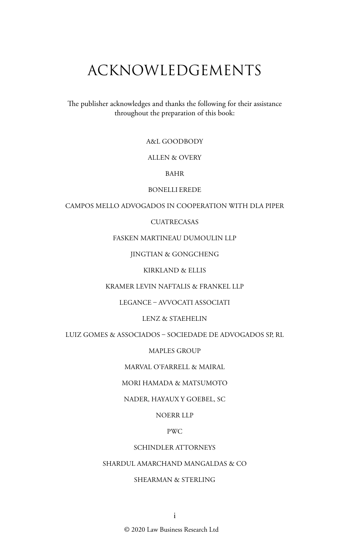## ACKNOWLEDGEMENTS

The publisher acknowledges and thanks the following for their assistance throughout the preparation of this book:

A&L GOODBODY

ALLEN & OVERY

BAHR

BONELLI EREDE

CAMPOS MELLO ADVOGADOS IN COOPERATION WITH DLA PIPER

#### **CUATRECASAS**

FASKEN MARTINEAU DUMOULIN LLP

JINGTIAN & GONGCHENG

KIRKLAND & ELLIS

KRAMER LEVIN NAFTALIS & FRANKEL LLP

LEGANCE – AVVOCATI ASSOCIATI

LENZ & STAEHELIN

LUIZ GOMES & ASSOCIADOS – SOCIEDADE DE ADVOGADOS SP, RL

MAPLES GROUP

MARVAL O'FARRELL & MAIRAL

MORI HAMADA & MATSUMOTO

NADER, HAYAUX Y GOEBEL, SC

NOERR LLP

PWC

#### SCHINDLER ATTORNEYS

SHARDUL AMARCHAND MANGALDAS & CO

SHEARMAN & STERLING

© 2020 Law Business Research Ltd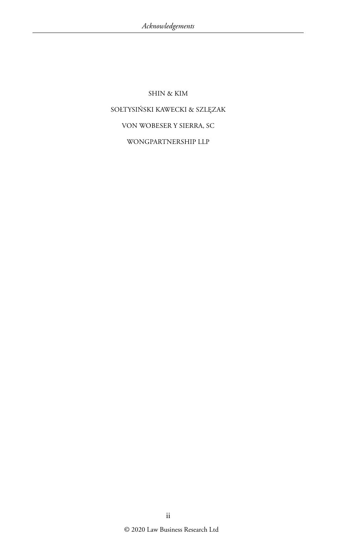## SHIN & KIM SOŁTYSIŃSKI KAWECKI & SZLĘZAK VON WOBESER Y SIERRA, SC WONGPARTNERSHIP LLP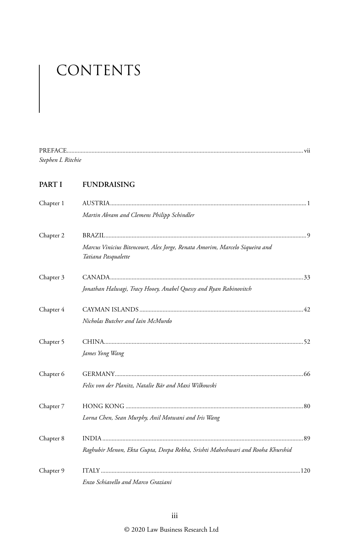# CONTENTS

| <b>PREFACE</b>    |  |
|-------------------|--|
| Stephen L Ritchie |  |

#### **PART I FUNDRAISING**

| Chapter 1 |                                                                                                    |  |
|-----------|----------------------------------------------------------------------------------------------------|--|
|           | Martin Abram and Clemens Philipp Schindler                                                         |  |
| Chapter 2 |                                                                                                    |  |
|           | Marcus Vinicius Bitencourt, Alex Jorge, Renata Amorim, Marcelo Siqueira and<br>Tatiana Pasqualette |  |
| Chapter 3 |                                                                                                    |  |
|           | Jonathan Halwagi, Tracy Hooey, Anabel Quessy and Ryan Rabinovitch                                  |  |
| Chapter 4 |                                                                                                    |  |
|           | Nicholas Butcher and Iain McMurdo                                                                  |  |
| Chapter 5 |                                                                                                    |  |
|           | James Yong Wang                                                                                    |  |
| Chapter 6 |                                                                                                    |  |
|           | Felix von der Planitz, Natalie Bär and Maxi Wilkowski                                              |  |
| Chapter 7 |                                                                                                    |  |
|           | Lorna Chen, Sean Murphy, Anil Motwani and Iris Wang                                                |  |
| Chapter 8 |                                                                                                    |  |
|           | Raghubir Menon, Ekta Gupta, Deepa Rekha, Srishti Maheshwari and Rooha Khurshid                     |  |
| Chapter 9 |                                                                                                    |  |
|           | Enzo Schiavello and Marco Graziani                                                                 |  |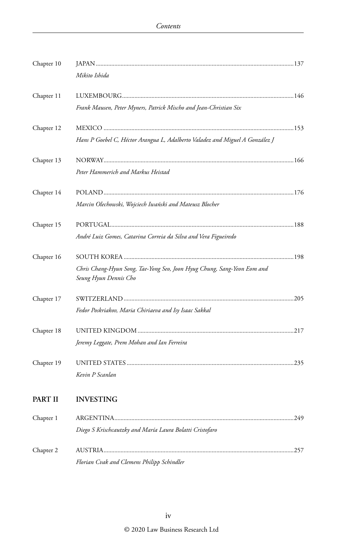| Chapter 10 |                                                                                                  |      |
|------------|--------------------------------------------------------------------------------------------------|------|
|            | Mikito Ishida                                                                                    |      |
| Chapter 11 |                                                                                                  |      |
|            | Frank Mausen, Peter Myners, Patrick Mischo and Jean-Christian Six                                |      |
| Chapter 12 |                                                                                                  |      |
|            | Hans P Goebel C, Héctor Arangua L, Adalberto Valadez and Miguel A González J                     |      |
| Chapter 13 |                                                                                                  |      |
|            | Peter Hammerich and Markus Heistad                                                               |      |
| Chapter 14 |                                                                                                  |      |
|            | Marcin Olechowski, Wojciech Iwański and Mateusz Blocher                                          |      |
| Chapter 15 |                                                                                                  |      |
|            | André Luiz Gomes, Catarina Correia da Silva and Vera Figueiredo                                  |      |
| Chapter 16 |                                                                                                  |      |
|            | Chris Chang-Hyun Song, Tae-Yong Seo, Joon Hyug Chung, Sang-Yeon Eom and<br>Seung Hyun Dennis Cho |      |
| Chapter 17 |                                                                                                  |      |
|            | Fedor Poskriakov, Maria Chiriaeva and Isy Isaac Sakkal                                           |      |
| Chapter 18 |                                                                                                  |      |
|            | Jeremy Leggate, Prem Mohan and Ian Ferreira                                                      |      |
| Chapter 19 |                                                                                                  |      |
|            | Kevin P Scanlan                                                                                  |      |
| PART II    | INVESTING                                                                                        |      |
| Chapter 1  |                                                                                                  | .249 |
|            | Diego S Krischcautzky and María Laura Bolatti Cristofaro                                         |      |
| Chapter 2  |                                                                                                  |      |
|            | Florian Cvak and Clemens Philipp Schindler                                                       |      |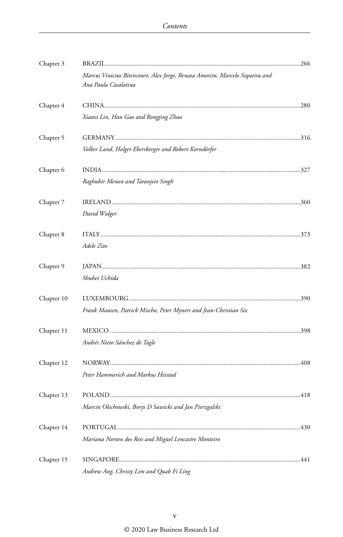| Chapter 3  |                                                                                                     |  |
|------------|-----------------------------------------------------------------------------------------------------|--|
|            | Marcus Vinicius Bitencourt, Alex Jorge, Renata Amorim, Marcelo Siqueira and<br>Ana Paula Casalatina |  |
| Chapter 4  |                                                                                                     |  |
|            | Xiaoxi Lin, Han Gao and Rongjing Zhao                                                               |  |
| Chapter 5  |                                                                                                     |  |
|            | Volker Land, Holger Ebersberger and Robert Korndörfer                                               |  |
| Chapter 6  |                                                                                                     |  |
|            | Raghubir Menon and Taranjeet Singh                                                                  |  |
| Chapter 7  |                                                                                                     |  |
|            | David Widger                                                                                        |  |
| Chapter 8  |                                                                                                     |  |
|            | Adele Zito                                                                                          |  |
| Chapter 9  |                                                                                                     |  |
|            | Shuhei Uchida                                                                                       |  |
| Chapter 10 |                                                                                                     |  |
|            | Frank Mausen, Patrick Mischo, Peter Myners and Jean-Christian Six                                   |  |
| Chapter 11 |                                                                                                     |  |
|            | Andrés Nieto Sánchez de Tagle                                                                       |  |
| Chapter 12 |                                                                                                     |  |
|            | Peter Hammerich and Markus Heistad                                                                  |  |
| Chapter 13 |                                                                                                     |  |
|            | Marcin Olechowski, Borys D Sawicki and Jan Pierzgalski                                              |  |
| Chapter 14 |                                                                                                     |  |
|            | Mariana Norton dos Reis and Miguel Lencastre Monteiro                                               |  |
| Chapter 15 |                                                                                                     |  |
|            | Andrew Ang, Christy Lim and Quak Fi Ling                                                            |  |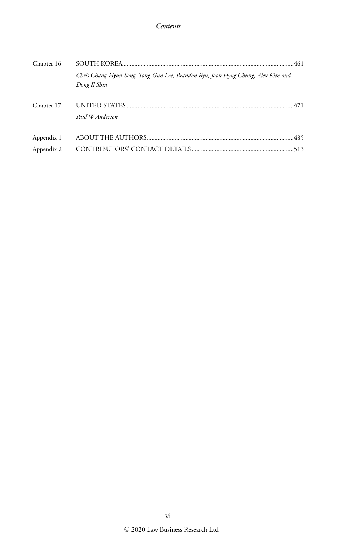| Chapter 16 |                                                                                                 |  |
|------------|-------------------------------------------------------------------------------------------------|--|
|            | Chris Chang-Hyun Song, Tong-Gun Lee, Brandon Ryu, Joon Hyug Chung, Alex Kim and<br>Dong Il Shin |  |
| Chapter 17 | Paul W Anderson                                                                                 |  |
| Appendix 1 |                                                                                                 |  |
| Appendix 2 |                                                                                                 |  |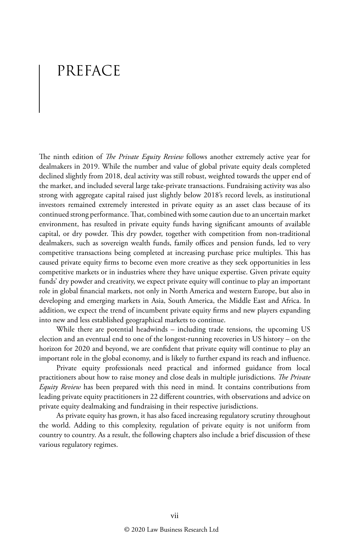## PREFACE

The ninth edition of *The Private Equity Review* follows another extremely active year for dealmakers in 2019. While the number and value of global private equity deals completed declined slightly from 2018, deal activity was still robust, weighted towards the upper end of the market, and included several large take-private transactions. Fundraising activity was also strong with aggregate capital raised just slightly below 2018's record levels, as institutional investors remained extremely interested in private equity as an asset class because of its continued strong performance. That, combined with some caution due to an uncertain market environment, has resulted in private equity funds having significant amounts of available capital, or dry powder. This dry powder, together with competition from non-traditional dealmakers, such as sovereign wealth funds, family offices and pension funds, led to very competitive transactions being completed at increasing purchase price multiples. This has caused private equity firms to become even more creative as they seek opportunities in less competitive markets or in industries where they have unique expertise. Given private equity funds' dry powder and creativity, we expect private equity will continue to play an important role in global financial markets, not only in North America and western Europe, but also in developing and emerging markets in Asia, South America, the Middle East and Africa. In addition, we expect the trend of incumbent private equity firms and new players expanding into new and less established geographical markets to continue.

While there are potential headwinds – including trade tensions, the upcoming US election and an eventual end to one of the longest-running recoveries in US history – on the horizon for 2020 and beyond, we are confident that private equity will continue to play an important role in the global economy, and is likely to further expand its reach and influence.

Private equity professionals need practical and informed guidance from local practitioners about how to raise money and close deals in multiple jurisdictions. *The Private Equity Review* has been prepared with this need in mind. It contains contributions from leading private equity practitioners in 22 different countries, with observations and advice on private equity dealmaking and fundraising in their respective jurisdictions.

As private equity has grown, it has also faced increasing regulatory scrutiny throughout the world. Adding to this complexity, regulation of private equity is not uniform from country to country. As a result, the following chapters also include a brief discussion of these various regulatory regimes.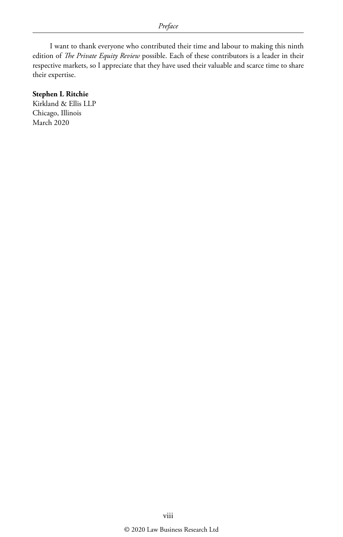I want to thank everyone who contributed their time and labour to making this ninth edition of *The Private Equity Review* possible. Each of these contributors is a leader in their respective markets, so I appreciate that they have used their valuable and scarce time to share their expertise.

#### **Stephen L Ritchie**

Kirkland & Ellis LLP Chicago, Illinois March 2020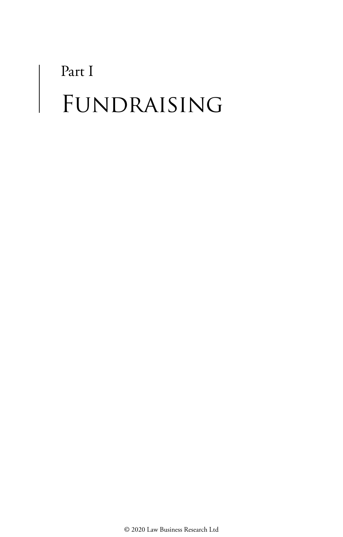# Part I FUNDRAISING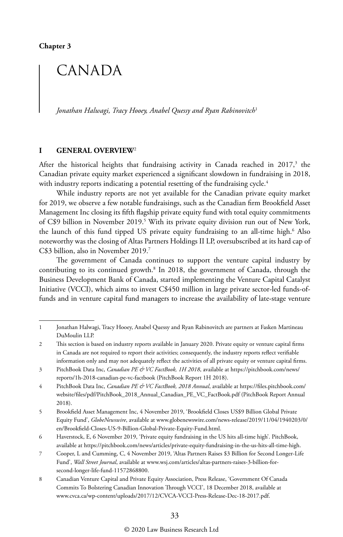## CANADA

*Jonathan Halwagi, Tracy Hooey, Anabel Quessy and Ryan Rabinovitch*<sup>1</sup>

#### **I GENERAL OVERVIEW**<sup>2</sup>

After the historical heights that fundraising activity in Canada reached in 2017,<sup>3</sup> the Canadian private equity market experienced a significant slowdown in fundraising in 2018, with industry reports indicating a potential resetting of the fundraising cycle.<sup>4</sup>

While industry reports are not yet available for the Canadian private equity market for 2019, we observe a few notable fundraisings, such as the Canadian firm Brookfield Asset Management Inc closing its fifth flagship private equity fund with total equity commitments of C\$9 billion in November 2019.<sup>5</sup> With its private equity division run out of New York, the launch of this fund tipped US private equity fundraising to an all-time high.6 Also noteworthy was the closing of Altas Partners Holdings II LP, oversubscribed at its hard cap of C\$3 billion, also in November 2019.7

The government of Canada continues to support the venture capital industry by contributing to its continued growth.8 In 2018, the government of Canada, through the Business Development Bank of Canada, started implementing the Venture Capital Catalyst Initiative (VCCI), which aims to invest C\$450 million in large private sector-led funds-offunds and in venture capital fund managers to increase the availability of late-stage venture

<sup>1</sup> Jonathan Halwagi, Tracy Hooey, Anabel Quessy and Ryan Rabinovitch are partners at Fasken Martineau DuMoulin LLP.

<sup>2</sup> This section is based on industry reports available in January 2020. Private equity or venture capital firms in Canada are not required to report their activities; consequently, the industry reports reflect verifiable information only and may not adequately reflect the activities of all private equity or venture capital firms.

<sup>3</sup> PitchBook Data Inc, *Canadian PE & VC FactBook, 1H 2018*, available at https://pitchbook.com/news/ reports/1h-2018-canadian-pe-vc-factbook (PitchBook Report 1H 2018).

<sup>4</sup> PitchBook Data Inc, *Canadian PE & VC FactBook, 2018 Annual*, available at https://files.pitchbook.com/ website/files/pdf/PitchBook\_2018\_Annual\_Canadian\_PE\_VC\_FactBook.pdf (PitchBook Report Annual 2018).

<sup>5</sup> Brookfield Asset Management Inc, 4 November 2019, 'Brookfield Closes US\$9 Billion Global Private Equity Fund', *GlobeNewswire*, available at www.globenewswire.com/news-release/2019/11/04/1940203/0/ en/Brookfield-Closes-US-9-Billion-Global-Private-Equity-Fund.html.

<sup>6</sup> Haverstock, E, 6 November 2019, 'Private equity fundraising in the US hits all-time high'. PitchBook, available at https://pitchbook.com/news/articles/private-equity-fundraising-in-the-us-hits-all-time-high.

<sup>7</sup> Cooper, L and Cumming, C, 4 November 2019, 'Altas Partners Raises \$3 Billion for Second Longer-Life Fund', *Wall Street Journal*, available at www.wsj.com/articles/altas-partners-raises-3-billion-forsecond-longer-life-fund-11572868800.

<sup>8</sup> Canadian Venture Capital and Private Equity Association, Press Release, 'Government Of Canada Commits To Bolstering Canadian Innovation Through VCCI', 18 December 2018, available at www.cvca.ca/wp-content/uploads/2017/12/CVCA-VCCI-Press-Release-Dec-18-2017.pdf.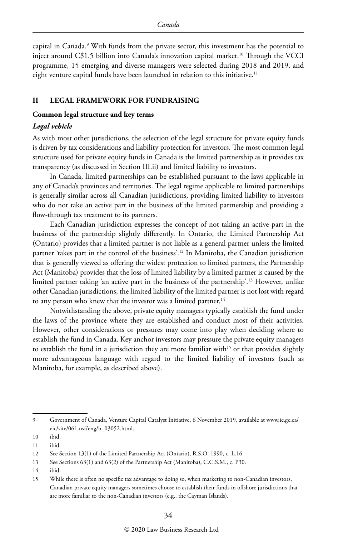capital in Canada.9 With funds from the private sector, this investment has the potential to inject around C\$1.5 billion into Canada's innovation capital market.10 Through the VCCI programme, 15 emerging and diverse managers were selected during 2018 and 2019, and eight venture capital funds have been launched in relation to this initiative.<sup>11</sup>

#### **II LEGAL FRAMEWORK FOR FUNDRAISING**

#### **Common legal structure and key terms**

#### *Legal vehicle*

As with most other jurisdictions, the selection of the legal structure for private equity funds is driven by tax considerations and liability protection for investors. The most common legal structure used for private equity funds in Canada is the limited partnership as it provides tax transparency (as discussed in Section III.ii) and limited liability to investors.

In Canada, limited partnerships can be established pursuant to the laws applicable in any of Canada's provinces and territories. The legal regime applicable to limited partnerships is generally similar across all Canadian jurisdictions, providing limited liability to investors who do not take an active part in the business of the limited partnership and providing a flow-through tax treatment to its partners.

Each Canadian jurisdiction expresses the concept of not taking an active part in the business of the partnership slightly differently. In Ontario, the Limited Partnership Act (Ontario) provides that a limited partner is not liable as a general partner unless the limited partner 'takes part in the control of the business'.12 In Manitoba, the Canadian jurisdiction that is generally viewed as offering the widest protection to limited partners, the Partnership Act (Manitoba) provides that the loss of limited liability by a limited partner is caused by the limited partner taking 'an active part in the business of the partnership'.13 However, unlike other Canadian jurisdictions, the limited liability of the limited partner is not lost with regard to any person who knew that the investor was a limited partner.<sup>14</sup>

Notwithstanding the above, private equity managers typically establish the fund under the laws of the province where they are established and conduct most of their activities. However, other considerations or pressures may come into play when deciding where to establish the fund in Canada. Key anchor investors may pressure the private equity managers to establish the fund in a jurisdiction they are more familiar with<sup>15</sup> or that provides slightly more advantageous language with regard to the limited liability of investors (such as Manitoba, for example, as described above).

<sup>9</sup> Government of Canada, Venture Capital Catalyst Initiative, 6 November 2019, available at www.ic.gc.ca/ eic/site/061.nsf/eng/h\_03052.html.

<sup>10</sup> ibid.

<sup>11</sup> ibid.

<sup>12</sup> See Section 13(1) of the Limited Partnership Act (Ontario), R.S.O. 1990, c. L.16.

<sup>13</sup> See Sections 63(1) and 63(2) of the Partnership Act (Manitoba), C.C.S.M., c. P30.

<sup>14</sup> ibid.

<sup>15</sup> While there is often no specific tax advantage to doing so, when marketing to non-Canadian investors, Canadian private equity managers sometimes choose to establish their funds in offshore jurisdictions that are more familiar to the non-Canadian investors (e.g., the Cayman Islands).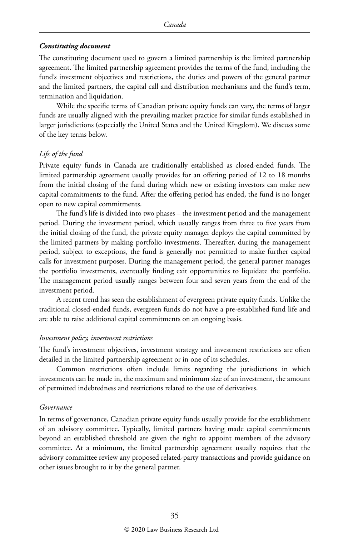#### *Constituting document*

The constituting document used to govern a limited partnership is the limited partnership agreement. The limited partnership agreement provides the terms of the fund, including the fund's investment objectives and restrictions, the duties and powers of the general partner and the limited partners, the capital call and distribution mechanisms and the fund's term, termination and liquidation.

While the specific terms of Canadian private equity funds can vary, the terms of larger funds are usually aligned with the prevailing market practice for similar funds established in larger jurisdictions (especially the United States and the United Kingdom). We discuss some of the key terms below.

#### *Life of the fund*

Private equity funds in Canada are traditionally established as closed-ended funds. The limited partnership agreement usually provides for an offering period of 12 to 18 months from the initial closing of the fund during which new or existing investors can make new capital commitments to the fund. After the offering period has ended, the fund is no longer open to new capital commitments.

The fund's life is divided into two phases – the investment period and the management period. During the investment period, which usually ranges from three to five years from the initial closing of the fund, the private equity manager deploys the capital committed by the limited partners by making portfolio investments. Thereafter, during the management period, subject to exceptions, the fund is generally not permitted to make further capital calls for investment purposes. During the management period, the general partner manages the portfolio investments, eventually finding exit opportunities to liquidate the portfolio. The management period usually ranges between four and seven years from the end of the investment period.

A recent trend has seen the establishment of evergreen private equity funds. Unlike the traditional closed-ended funds, evergreen funds do not have a pre-established fund life and are able to raise additional capital commitments on an ongoing basis.

#### *Investment policy, investment restrictions*

The fund's investment objectives, investment strategy and investment restrictions are often detailed in the limited partnership agreement or in one of its schedules.

Common restrictions often include limits regarding the jurisdictions in which investments can be made in, the maximum and minimum size of an investment, the amount of permitted indebtedness and restrictions related to the use of derivatives.

#### *Governance*

In terms of governance, Canadian private equity funds usually provide for the establishment of an advisory committee. Typically, limited partners having made capital commitments beyond an established threshold are given the right to appoint members of the advisory committee. At a minimum, the limited partnership agreement usually requires that the advisory committee review any proposed related-party transactions and provide guidance on other issues brought to it by the general partner.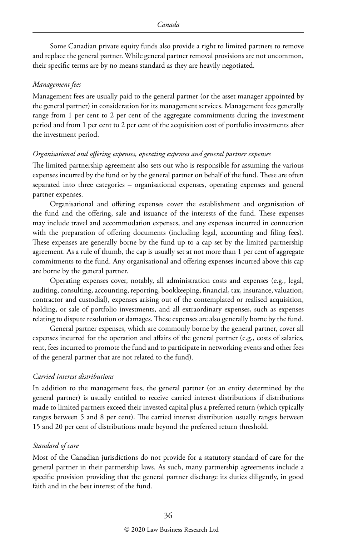Some Canadian private equity funds also provide a right to limited partners to remove and replace the general partner. While general partner removal provisions are not uncommon, their specific terms are by no means standard as they are heavily negotiated.

#### *Management fees*

Management fees are usually paid to the general partner (or the asset manager appointed by the general partner) in consideration for its management services. Management fees generally range from 1 per cent to 2 per cent of the aggregate commitments during the investment period and from 1 per cent to 2 per cent of the acquisition cost of portfolio investments after the investment period.

#### *Organisational and offering expenses, operating expenses and general partner expenses*

The limited partnership agreement also sets out who is responsible for assuming the various expenses incurred by the fund or by the general partner on behalf of the fund. These are often separated into three categories – organisational expenses, operating expenses and general partner expenses.

Organisational and offering expenses cover the establishment and organisation of the fund and the offering, sale and issuance of the interests of the fund. These expenses may include travel and accommodation expenses, and any expenses incurred in connection with the preparation of offering documents (including legal, accounting and filing fees). These expenses are generally borne by the fund up to a cap set by the limited partnership agreement. As a rule of thumb, the cap is usually set at not more than 1 per cent of aggregate commitments to the fund. Any organisational and offering expenses incurred above this cap are borne by the general partner.

Operating expenses cover, notably, all administration costs and expenses (e.g., legal, auditing, consulting, accounting, reporting, bookkeeping, financial, tax, insurance, valuation, contractor and custodial), expenses arising out of the contemplated or realised acquisition, holding, or sale of portfolio investments, and all extraordinary expenses, such as expenses relating to dispute resolution or damages. These expenses are also generally borne by the fund.

General partner expenses, which are commonly borne by the general partner, cover all expenses incurred for the operation and affairs of the general partner (e.g., costs of salaries, rent, fees incurred to promote the fund and to participate in networking events and other fees of the general partner that are not related to the fund).

#### *Carried interest distributions*

In addition to the management fees, the general partner (or an entity determined by the general partner) is usually entitled to receive carried interest distributions if distributions made to limited partners exceed their invested capital plus a preferred return (which typically ranges between 5 and 8 per cent). The carried interest distribution usually ranges between 15 and 20 per cent of distributions made beyond the preferred return threshold.

#### *Standard of care*

Most of the Canadian jurisdictions do not provide for a statutory standard of care for the general partner in their partnership laws. As such, many partnership agreements include a specific provision providing that the general partner discharge its duties diligently, in good faith and in the best interest of the fund.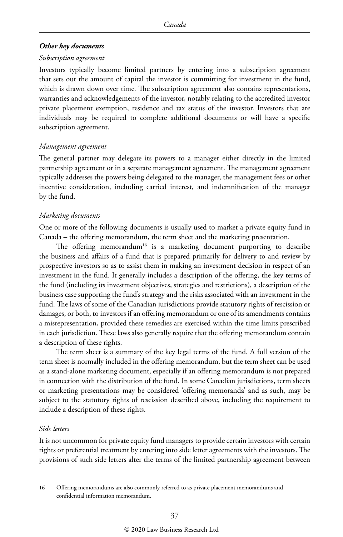#### *Other key documents*

#### *Subscription agreement*

Investors typically become limited partners by entering into a subscription agreement that sets out the amount of capital the investor is committing for investment in the fund, which is drawn down over time. The subscription agreement also contains representations, warranties and acknowledgements of the investor, notably relating to the accredited investor private placement exemption, residence and tax status of the investor. Investors that are individuals may be required to complete additional documents or will have a specific subscription agreement.

#### *Management agreement*

The general partner may delegate its powers to a manager either directly in the limited partnership agreement or in a separate management agreement. The management agreement typically addresses the powers being delegated to the manager, the management fees or other incentive consideration, including carried interest, and indemnification of the manager by the fund.

#### *Marketing documents*

One or more of the following documents is usually used to market a private equity fund in Canada – the offering memorandum, the term sheet and the marketing presentation.

The offering memorandum<sup>16</sup> is a marketing document purporting to describe the business and affairs of a fund that is prepared primarily for delivery to and review by prospective investors so as to assist them in making an investment decision in respect of an investment in the fund. It generally includes a description of the offering, the key terms of the fund (including its investment objectives, strategies and restrictions), a description of the business case supporting the fund's strategy and the risks associated with an investment in the fund. The laws of some of the Canadian jurisdictions provide statutory rights of rescission or damages, or both, to investors if an offering memorandum or one of its amendments contains a misrepresentation, provided these remedies are exercised within the time limits prescribed in each jurisdiction. These laws also generally require that the offering memorandum contain a description of these rights.

The term sheet is a summary of the key legal terms of the fund. A full version of the term sheet is normally included in the offering memorandum, but the term sheet can be used as a stand-alone marketing document, especially if an offering memorandum is not prepared in connection with the distribution of the fund. In some Canadian jurisdictions, term sheets or marketing presentations may be considered 'offering memoranda' and as such, may be subject to the statutory rights of rescission described above, including the requirement to include a description of these rights.

#### *Side letters*

It is not uncommon for private equity fund managers to provide certain investors with certain rights or preferential treatment by entering into side letter agreements with the investors. The provisions of such side letters alter the terms of the limited partnership agreement between

<sup>16</sup> Offering memorandums are also commonly referred to as private placement memorandums and confidential information memorandum.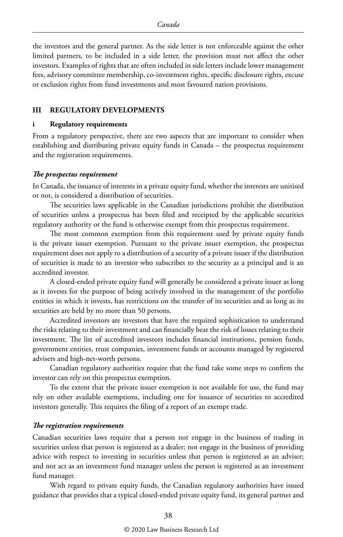the investors and the general partner. As the side letter is not enforceable against the other limited partners, to be included in a side letter, the provision must not affect the other investors. Examples of rights that are often included in side letters include lower management fees, advisory committee membership, co-investment rights, specific disclosure rights, excuse or exclusion rights from fund investments and most favoured nation provisions.

#### **III REGULATORY DEVELOPMENTS**

#### **i Regulatory requirements**

From a regulatory perspective, there are two aspects that are important to consider when establishing and distributing private equity funds in Canada – the prospectus requirement and the registration requirements.

#### *The prospectus requirement*

In Canada, the issuance of interests in a private equity fund, whether the interests are unitised or not, is considered a distribution of securities.

The securities laws applicable in the Canadian jurisdictions prohibit the distribution of securities unless a prospectus has been filed and receipted by the applicable securities regulatory authority or the fund is otherwise exempt from this prospectus requirement.

The most common exemption from this requirement used by private equity funds is the private issuer exemption. Pursuant to the private issuer exemption, the prospectus requirement does not apply to a distribution of a security of a private issuer if the distribution of securities is made to an investor who subscribes to the security as a principal and is an accredited investor.

A closed-ended private equity fund will generally be considered a private issuer as long as it invests for the purpose of being actively involved in the management of the portfolio entities in which it invests, has restrictions on the transfer of its securities and as long as its securities are held by no more than 50 persons.

Accredited investors are investors that have the required sophistication to understand the risks relating to their investment and can financially bear the risk of losses relating to their investment. The list of accredited investors includes financial institutions, pension funds, government entities, trust companies, investment funds or accounts managed by registered advisers and high-net-worth persons.

Canadian regulatory authorities require that the fund take some steps to confirm the investor can rely on this prospectus exemption.

To the extent that the private issuer exemption is not available for use, the fund may rely on other available exemptions, including one for issuance of securities to accredited investors generally. This requires the filing of a report of an exempt trade.

#### *The registration requirements*

Canadian securities laws require that a person not engage in the business of trading in securities unless that person is registered as a dealer; not engage in the business of providing advice with respect to investing in securities unless that person is registered as an adviser; and not act as an investment fund manager unless the person is registered as an investment fund manager.

With regard to private equity funds, the Canadian regulatory authorities have issued guidance that provides that a typical closed-ended private equity fund, its general partner and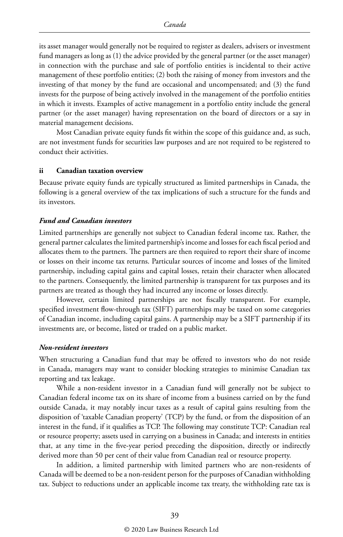its asset manager would generally not be required to register as dealers, advisers or investment fund managers as long as (1) the advice provided by the general partner (or the asset manager) in connection with the purchase and sale of portfolio entities is incidental to their active management of these portfolio entities; (2) both the raising of money from investors and the investing of that money by the fund are occasional and uncompensated; and (3) the fund invests for the purpose of being actively involved in the management of the portfolio entities in which it invests. Examples of active management in a portfolio entity include the general partner (or the asset manager) having representation on the board of directors or a say in material management decisions.

Most Canadian private equity funds fit within the scope of this guidance and, as such, are not investment funds for securities law purposes and are not required to be registered to conduct their activities.

#### **ii Canadian taxation overview**

Because private equity funds are typically structured as limited partnerships in Canada, the following is a general overview of the tax implications of such a structure for the funds and its investors.

#### *Fund and Canadian investors*

Limited partnerships are generally not subject to Canadian federal income tax. Rather, the general partner calculates the limited partnership's income and losses for each fiscal period and allocates them to the partners. The partners are then required to report their share of income or losses on their income tax returns. Particular sources of income and losses of the limited partnership, including capital gains and capital losses, retain their character when allocated to the partners. Consequently, the limited partnership is transparent for tax purposes and its partners are treated as though they had incurred any income or losses directly.

However, certain limited partnerships are not fiscally transparent. For example, specified investment flow-through tax (SIFT) partnerships may be taxed on some categories of Canadian income, including capital gains. A partnership may be a SIFT partnership if its investments are, or become, listed or traded on a public market.

#### *Non-resident investors*

When structuring a Canadian fund that may be offered to investors who do not reside in Canada, managers may want to consider blocking strategies to minimise Canadian tax reporting and tax leakage.

While a non-resident investor in a Canadian fund will generally not be subject to Canadian federal income tax on its share of income from a business carried on by the fund outside Canada, it may notably incur taxes as a result of capital gains resulting from the disposition of 'taxable Canadian property' (TCP) by the fund, or from the disposition of an interest in the fund, if it qualifies as TCP. The following may constitute TCP: Canadian real or resource property; assets used in carrying on a business in Canada; and interests in entities that, at any time in the five-year period preceding the disposition, directly or indirectly derived more than 50 per cent of their value from Canadian real or resource property.

In addition, a limited partnership with limited partners who are non-residents of Canada will be deemed to be a non-resident person for the purposes of Canadian withholding tax. Subject to reductions under an applicable income tax treaty, the withholding rate tax is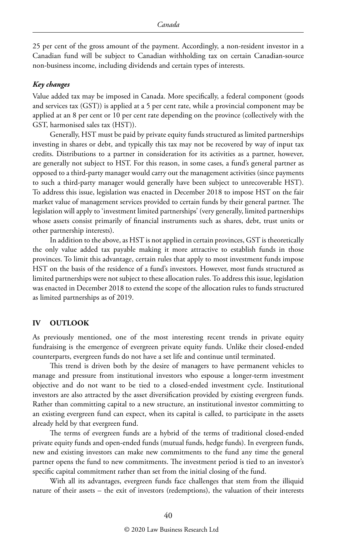25 per cent of the gross amount of the payment. Accordingly, a non-resident investor in a Canadian fund will be subject to Canadian withholding tax on certain Canadian-source non-business income, including dividends and certain types of interests.

#### *Key changes*

Value added tax may be imposed in Canada. More specifically, a federal component (goods and services tax (GST)) is applied at a 5 per cent rate, while a provincial component may be applied at an 8 per cent or 10 per cent rate depending on the province (collectively with the GST, harmonised sales tax (HST)).

Generally, HST must be paid by private equity funds structured as limited partnerships investing in shares or debt, and typically this tax may not be recovered by way of input tax credits. Distributions to a partner in consideration for its activities as a partner, however, are generally not subject to HST. For this reason, in some cases, a fund's general partner as opposed to a third-party manager would carry out the management activities (since payments to such a third-party manager would generally have been subject to unrecoverable HST). To address this issue, legislation was enacted in December 2018 to impose HST on the fair market value of management services provided to certain funds by their general partner. The legislation will apply to 'investment limited partnerships' (very generally, limited partnerships whose assets consist primarily of financial instruments such as shares, debt, trust units or other partnership interests).

In addition to the above, as HST is not applied in certain provinces, GST is theoretically the only value added tax payable making it more attractive to establish funds in those provinces. To limit this advantage, certain rules that apply to most investment funds impose HST on the basis of the residence of a fund's investors. However, most funds structured as limited partnerships were not subject to these allocation rules. To address this issue, legislation was enacted in December 2018 to extend the scope of the allocation rules to funds structured as limited partnerships as of 2019.

#### **IV OUTLOOK**

As previously mentioned, one of the most interesting recent trends in private equity fundraising is the emergence of evergreen private equity funds. Unlike their closed-ended counterparts, evergreen funds do not have a set life and continue until terminated.

This trend is driven both by the desire of managers to have permanent vehicles to manage and pressure from institutional investors who espouse a longer-term investment objective and do not want to be tied to a closed-ended investment cycle. Institutional investors are also attracted by the asset diversification provided by existing evergreen funds. Rather than committing capital to a new structure, an institutional investor committing to an existing evergreen fund can expect, when its capital is called, to participate in the assets already held by that evergreen fund.

The terms of evergreen funds are a hybrid of the terms of traditional closed-ended private equity funds and open-ended funds (mutual funds, hedge funds). In evergreen funds, new and existing investors can make new commitments to the fund any time the general partner opens the fund to new commitments. The investment period is tied to an investor's specific capital commitment rather than set from the initial closing of the fund.

With all its advantages, evergreen funds face challenges that stem from the illiquid nature of their assets – the exit of investors (redemptions), the valuation of their interests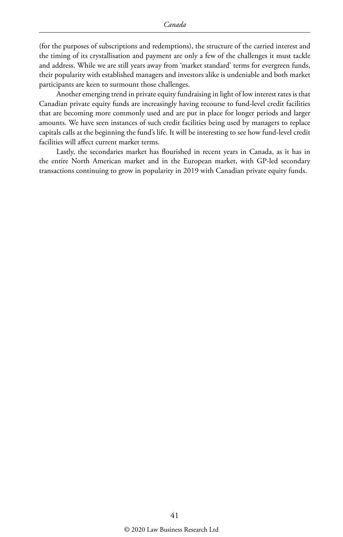(for the purposes of subscriptions and redemptions), the structure of the carried interest and the timing of its crystallisation and payment are only a few of the challenges it must tackle and address. While we are still years away from 'market standard' terms for evergreen funds, their popularity with established managers and investors alike is undeniable and both market participants are keen to surmount those challenges.

Another emerging trend in private equity fundraising in light of low interest rates is that Canadian private equity funds are increasingly having recourse to fund-level credit facilities that are becoming more commonly used and are put in place for longer periods and larger amounts. We have seen instances of such credit facilities being used by managers to replace capitals calls at the beginning the fund's life. It will be interesting to see how fund-level credit facilities will affect current market terms.

Lastly, the secondaries market has flourished in recent years in Canada, as it has in the entire North American market and in the European market, with GP-led secondary transactions continuing to grow in popularity in 2019 with Canadian private equity funds.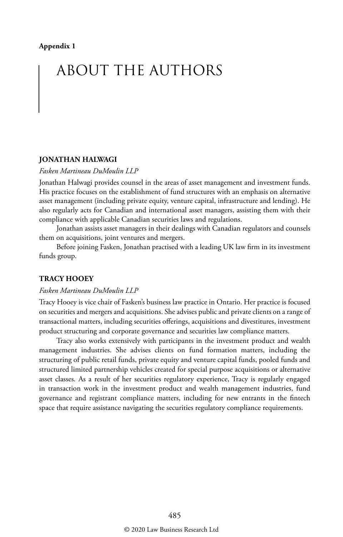## ABOUT THE AUTHORS

#### **JONATHAN HALWAGI**

#### *Fasken Martineau DuMoulin LLP*

Jonathan Halwagi provides counsel in the areas of asset management and investment funds. His practice focuses on the establishment of fund structures with an emphasis on alternative asset management (including private equity, venture capital, infrastructure and lending). He also regularly acts for Canadian and international asset managers, assisting them with their compliance with applicable Canadian securities laws and regulations.

Jonathan assists asset managers in their dealings with Canadian regulators and counsels them on acquisitions, joint ventures and mergers.

Before joining Fasken, Jonathan practised with a leading UK law firm in its investment funds group.

#### **TRACY HOOEY**

#### *Fasken Martineau DuMoulin LLP*

Tracy Hooey is vice chair of Fasken's business law practice in Ontario. Her practice is focused on securities and mergers and acquisitions. She advises public and private clients on a range of transactional matters, including securities offerings, acquisitions and divestitures, investment product structuring and corporate governance and securities law compliance matters.

Tracy also works extensively with participants in the investment product and wealth management industries. She advises clients on fund formation matters, including the structuring of public retail funds, private equity and venture capital funds, pooled funds and structured limited partnership vehicles created for special purpose acquisitions or alternative asset classes. As a result of her securities regulatory experience, Tracy is regularly engaged in transaction work in the investment product and wealth management industries, fund governance and registrant compliance matters, including for new entrants in the fintech space that require assistance navigating the securities regulatory compliance requirements.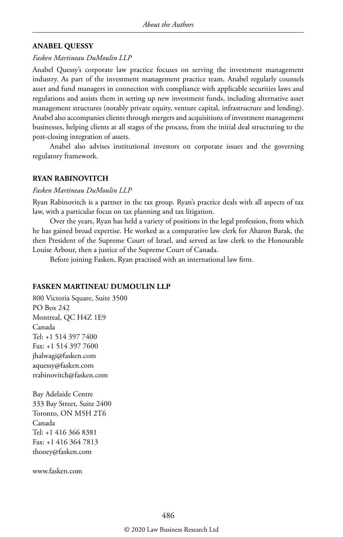#### **ANABEL QUESSY**

#### *Fasken Martineau DuMoulin LLP*

Anabel Quessy's corporate law practice focuses on serving the investment management industry. As part of the investment management practice team, Anabel regularly counsels asset and fund managers in connection with compliance with applicable securities laws and regulations and assists them in setting up new investment funds, including alternative asset management structures (notably private equity, venture capital, infrastructure and lending). Anabel also accompanies clients through mergers and acquisitions of investment management businesses, helping clients at all stages of the process, from the initial deal structuring to the post-closing integration of assets.

Anabel also advises institutional investors on corporate issues and the governing regulatory framework.

#### **RYAN RABINOVITCH**

#### *Fasken Martineau DuMoulin LLP*

Ryan Rabinovitch is a partner in the tax group. Ryan's practice deals with all aspects of tax law, with a particular focus on tax planning and tax litigation.

Over the years, Ryan has held a variety of positions in the legal profession, from which he has gained broad expertise. He worked as a comparative law clerk for Aharon Barak, the then President of the Supreme Court of Israel, and served as law clerk to the Honourable Louise Arbour, then a justice of the Supreme Court of Canada.

Before joining Fasken, Ryan practised with an international law firm.

#### **FASKEN MARTINEAU DUMOULIN LLP**

800 Victoria Square, Suite 3500 PO Box 242 Montreal, QC H4Z 1E9 Canada Tel: +1 514 397 7400 Fax: +1 514 397 7600 jhalwagi@fasken.com aquessy@fasken.com rrabinovitch@fasken.com

Bay Adelaide Centre 333 Bay Street, Suite 2400 Toronto, ON M5H 2T6 Canada Tel: +1 416 366 8381 Fax: +1 416 364 7813 thooey@fasken.com

www.fasken.com